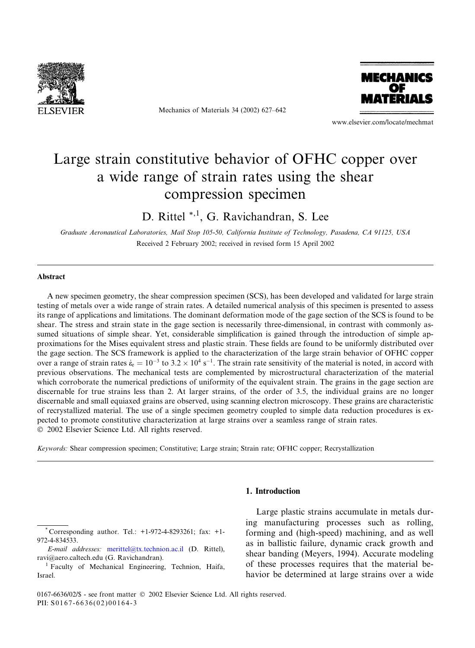

Mechanics of Materials 34 (2002) 627–642



www.elsevier.com/locate/mechmat

# Large strain constitutive behavior of OFHC copper over a wide range of strain rates using the shear compression specimen

D. Rittel \*,<sup>1</sup>, G. Ravichandran, S. Lee

Graduate Aeronautical Laboratories, Mail Stop 105-50, California Institute of Technology, Pasadena, CA 91125, USA Received 2 February 2002; received in revised form 15 April 2002

## Abstract

A new specimen geometry, the shear compression specimen (SCS), has been developed and validated for large strain testing of metals over a wide range of strain rates. A detailed numerical analysis of this specimen is presented to assess its range of applications and limitations. The dominant deformation mode of the gage section of the SCS is found to be shear. The stress and strain state in the gage section is necessarily three-dimensional, in contrast with commonly assumed situations of simple shear. Yet, considerable simplification is gained through the introduction of simple approximations for the Mises equivalent stress and plastic strain. These fields are found to be uniformly distributed over the gage section. The SCS framework is applied to the characterization of the large strain behavior of OFHC copper over a range of strain rates  $\dot{\epsilon}_e = 10^{-3}$  to 3.2  $\times 10^4$  s<sup>-1</sup>. The strain rate sensitivity of the material is noted, in accord with previous observations. The mechanical tests are complemented by microstructural characterization of the material which corroborate the numerical predictions of uniformity of the equivalent strain. The grains in the gage section are discernable for true strains less than 2. At larger strains, of the order of 3.5, the individual grains are no longer discernable and small equiaxed grains are observed, using scanning electron microscopy. These grains are characteristic of recrystallized material. The use of a single specimen geometry coupled to simple data reduction procedures is expected to promote constitutive characterization at large strains over a seamless range of strain rates. 2002 Elsevier Science Ltd. All rights reserved.

Keywords: Shear compression specimen; Constitutive; Large strain; Strain rate; OFHC copper; Recrystallization

### 1. Introduction

\* Corresponding author. Tel.: +1-972-4-8293261; fax: +1- 972-4-834533.

Large plastic strains accumulate in metals during manufacturing processes such as rolling, forming and (high-speed) machining, and as well as in ballistic failure, dynamic crack growth and shear banding (Meyers, 1994). Accurate modeling of these processes requires that the material behavior be determined at large strains over a wide

0167-6636/02/\$ - see front matter  $©$  2002 Elsevier Science Ltd. All rights reserved. PII: S0167-6636(02)00164-3

E-mail addresses: [merittel@tx.technion.ac.il](mail to: merittel@tx.technion.ac.il) (D. Rittel), ravi@aero.caltech.edu (G. Ravichandran).

<sup>&</sup>lt;sup>1</sup> Faculty of Mechanical Engineering, Technion, Haifa, Israel.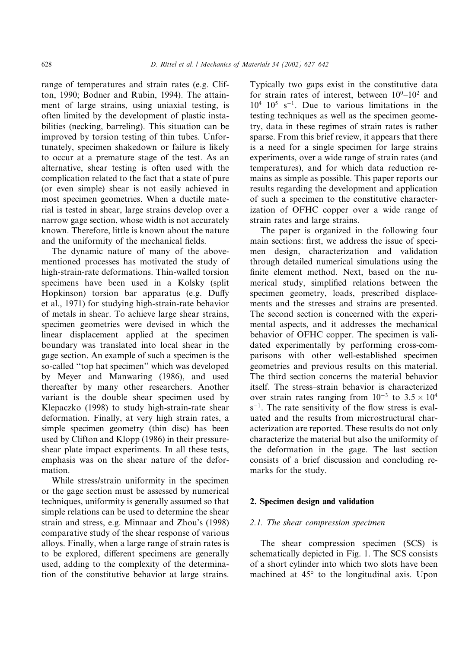range of temperatures and strain rates (e.g. Clifton, 1990; Bodner and Rubin, 1994). The attainment of large strains, using uniaxial testing, is often limited by the development of plastic instabilities (necking, barreling). This situation can be improved by torsion testing of thin tubes. Unfortunately, specimen shakedown or failure is likely to occur at a premature stage of the test. As an alternative, shear testing is often used with the complication related to the fact that a state of pure (or even simple) shear is not easily achieved in most specimen geometries. When a ductile material is tested in shear, large strains develop over a narrow gage section, whose width is not accurately known. Therefore, little is known about the nature and the uniformity of the mechanical fields.

The dynamic nature of many of the abovementioned processes has motivated the study of high-strain-rate deformations. Thin-walled torsion specimens have been used in a Kolsky (split Hopkinson) torsion bar apparatus (e.g. Duffy et al., 1971) for studying high-strain-rate behavior of metals in shear. To achieve large shear strains, specimen geometries were devised in which the linear displacement applied at the specimen boundary was translated into local shear in the gage section. An example of such a specimen is the so-called ''top hat specimen'' which was developed by Meyer and Manwaring (1986), and used thereafter by many other researchers. Another variant is the double shear specimen used by Klepaczko (1998) to study high-strain-rate shear deformation. Finally, at very high strain rates, a simple specimen geometry (thin disc) has been used by Clifton and Klopp (1986) in their pressureshear plate impact experiments. In all these tests, emphasis was on the shear nature of the deformation.

While stress/strain uniformity in the specimen or the gage section must be assessed by numerical techniques, uniformity is generally assumed so that simple relations can be used to determine the shear strain and stress, e.g. Minnaar and Zhou's (1998) comparative study of the shear response of various alloys. Finally, when a large range of strain rates is to be explored, different specimens are generally used, adding to the complexity of the determination of the constitutive behavior at large strains. Typically two gaps exist in the constitutive data for strain rates of interest, between  $10^{0}$ – $10^{2}$  and  $10^4 - 10^5$  s<sup>-1</sup>. Due to various limitations in the testing techniques as well as the specimen geometry, data in these regimes of strain rates is rather sparse. From this brief review, it appears that there is a need for a single specimen for large strains experiments, over a wide range of strain rates (and temperatures), and for which data reduction remains as simple as possible. This paper reports our results regarding the development and application of such a specimen to the constitutive characterization of OFHC copper over a wide range of strain rates and large strains.

The paper is organized in the following four main sections: first, we address the issue of specimen design, characterization and validation through detailed numerical simulations using the finite element method. Next, based on the numerical study, simplified relations between the specimen geometry, loads, prescribed displacements and the stresses and strains are presented. The second section is concerned with the experimental aspects, and it addresses the mechanical behavior of OFHC copper. The specimen is validated experimentally by performing cross-comparisons with other well-established specimen geometries and previous results on this material. The third section concerns the material behavior itself. The stress–strain behavior is characterized over strain rates ranging from  $10^{-3}$  to  $3.5 \times 10^{4}$  $s^{-1}$ . The rate sensitivity of the flow stress is evaluated and the results from microstructural characterization are reported. These results do not only characterize the material but also the uniformity of the deformation in the gage. The last section consists of a brief discussion and concluding remarks for the study.

## 2. Specimen design and validation

## 2.1. The shear compression specimen

The shear compression specimen (SCS) is schematically depicted in Fig. 1. The SCS consists of a short cylinder into which two slots have been machined at 45° to the longitudinal axis. Upon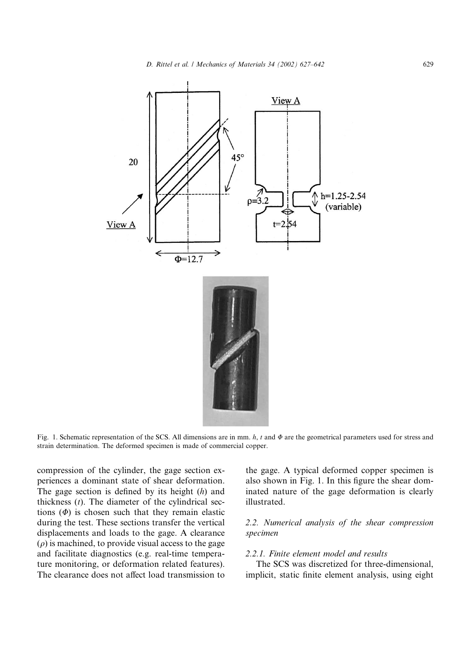

Fig. 1. Schematic representation of the SCS. All dimensions are in mm.  $h$ , t and  $\Phi$  are the geometrical parameters used for stress and strain determination. The deformed specimen is made of commercial copper.

compression of the cylinder, the gage section experiences a dominant state of shear deformation. The gage section is defined by its height  $(h)$  and thickness  $(t)$ . The diameter of the cylindrical sections  $(\Phi)$  is chosen such that they remain elastic during the test. These sections transfer the vertical displacements and loads to the gage. A clearance  $(\rho)$  is machined, to provide visual access to the gage and facilitate diagnostics (e.g. real-time temperature monitoring, or deformation related features). The clearance does not affect load transmission to the gage. A typical deformed copper specimen is also shown in Fig. 1. In this figure the shear dominated nature of the gage deformation is clearly illustrated.

# 2.2. Numerical analysis of the shear compression specimen

## 2.2.1. Finite element model and results

The SCS was discretized for three-dimensional, implicit, static finite element analysis, using eight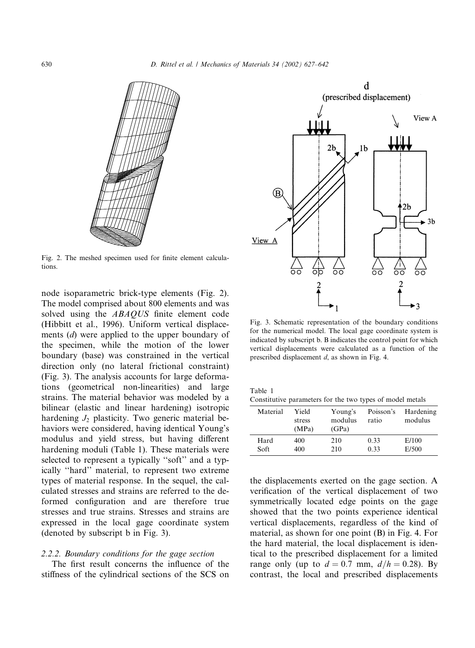

Fig. 2. The meshed specimen used for finite element calculations.

node isoparametric brick-type elements (Fig. 2). The model comprised about 800 elements and was solved using the **ABAQUS** finite element code (Hibbitt et al., 1996). Uniform vertical displacements (d) were applied to the upper boundary of the specimen, while the motion of the lower boundary (base) was constrained in the vertical direction only (no lateral frictional constraint) (Fig. 3). The analysis accounts for large deformations (geometrical non-linearities) and large strains. The material behavior was modeled by a bilinear (elastic and linear hardening) isotropic hardening  $J_2$  plasticity. Two generic material behaviors were considered, having identical Young's modulus and yield stress, but having different hardening moduli (Table 1). These materials were selected to represent a typically ''soft'' and a typically ''hard'' material, to represent two extreme types of material response. In the sequel, the calculated stresses and strains are referred to the deformed configuration and are therefore true stresses and true strains. Stresses and strains are expressed in the local gage coordinate system (denoted by subscript b in Fig. 3).

#### 2.2.2. Boundary conditions for the gage section

The first result concerns the influence of the stiffness of the cylindrical sections of the SCS on



Fig. 3. Schematic representation of the boundary conditions for the numerical model. The local gage coordinate system is indicated by subscript b. B indicates the control point for which vertical displacements were calculated as a function of the prescribed displacement d, as shown in Fig. 4.

| Table 1                                                   |  |  |  |  |  |
|-----------------------------------------------------------|--|--|--|--|--|
| Constitutive parameters for the two types of model metals |  |  |  |  |  |

| Material | Yield<br>stress<br>(MPa) | Young's<br>modulus<br>(GPa) | Poisson's<br>ratio | Hardening<br>modulus |
|----------|--------------------------|-----------------------------|--------------------|----------------------|
| Hard     | 400                      | 210                         | 0.33               | E/100                |
| Soft     | 400                      | 210                         | 0.33               | E/500                |

the displacements exerted on the gage section. A verification of the vertical displacement of two symmetrically located edge points on the gage showed that the two points experience identical vertical displacements, regardless of the kind of material, as shown for one point (B) in Fig. 4. For the hard material, the local displacement is identical to the prescribed displacement for a limited range only (up to  $d = 0.7$  mm,  $d/h = 0.28$ ). By contrast, the local and prescribed displacements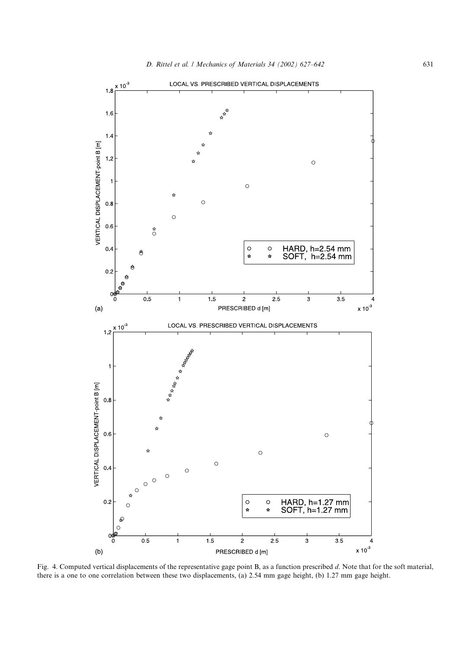

Fig. 4. Computed vertical displacements of the representative gage point B, as a function prescribed d. Note that for the soft material, there is a one to one correlation between these two displacements, (a) 2.54 mm gage height, (b) 1.27 mm gage height.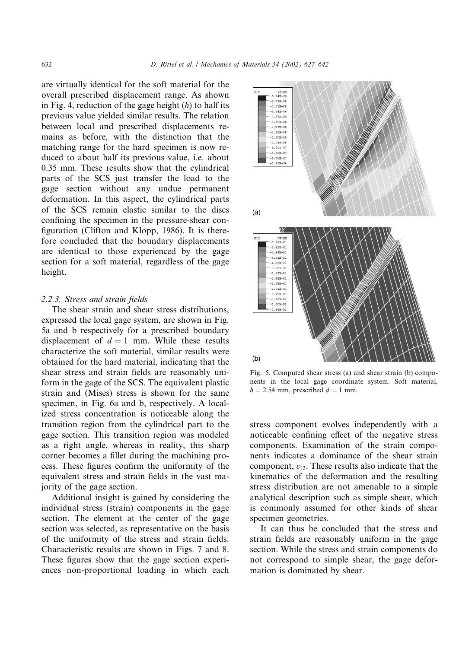are virtually identical for the soft material for the overall prescribed displacement range. As shown in Fig. 4, reduction of the gage height  $(h)$  to half its previous value yielded similar results. The relation between local and prescribed displacements remains as before, with the distinction that the matching range for the hard specimen is now reduced to about half its previous value, i.e. about 0.35 mm. These results show that the cylindrical parts of the SCS just transfer the load to the gage section without any undue permanent deformation. In this aspect, the cylindrical parts of the SCS remain elastic similar to the discs confining the specimen in the pressure-shear configuration (Clifton and Klopp, 1986). It is therefore concluded that the boundary displacements are identical to those experienced by the gage section for a soft material, regardless of the gage height.

#### 2.2.3. Stress and strain fields

The shear strain and shear stress distributions, expressed the local gage system, are shown in Fig. 5a and b respectively for a prescribed boundary displacement of  $d = 1$  mm. While these results characterize the soft material, similar results were obtained for the hard material, indicating that the shear stress and strain fields are reasonably uniform in the gage of the SCS. The equivalent plastic strain and (Mises) stress is shown for the same specimen, in Fig. 6a and b, respectively. A localized stress concentration is noticeable along the transition region from the cylindrical part to the gage section. This transition region was modeled as a right angle, whereas in reality, this sharp corner becomes a fillet during the machining process. These figures confirm the uniformity of the equivalent stress and strain fields in the vast majority of the gage section.

Additional insight is gained by considering the individual stress (strain) components in the gage section. The element at the center of the gage section was selected, as representative on the basis of the uniformity of the stress and strain fields. Characteristic results are shown in Figs. 7 and 8. These figures show that the gage section experiences non-proportional loading in which each



Fig. 5. Computed shear stress (a) and shear strain (b) components in the local gage coordinate system. Soft material,  $h = 2.54$  mm, prescribed  $d = 1$  mm.

stress component evolves independently with a noticeable confining effect of the negative stress components. Examination of the strain components indicates a dominance of the shear strain component,  $\varepsilon_{12}$ . These results also indicate that the kinematics of the deformation and the resulting stress distribution are not amenable to a simple analytical description such as simple shear, which is commonly assumed for other kinds of shear specimen geometries.

It can thus be concluded that the stress and strain fields are reasonably uniform in the gage section. While the stress and strain components do not correspond to simple shear, the gage deformation is dominated by shear.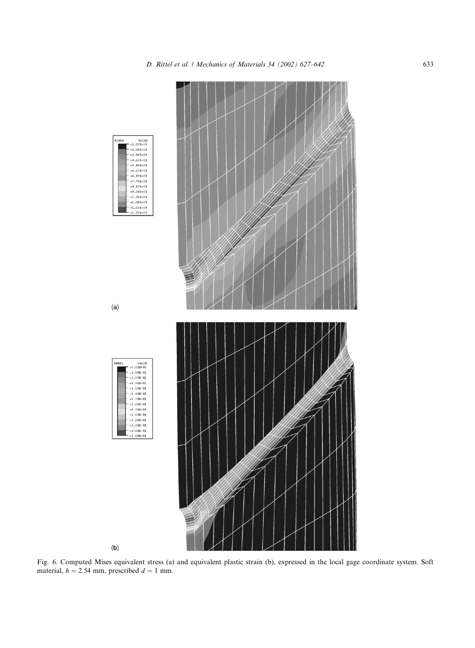VALUE<br>  $+2.33E+08$ <br>  $+3.09E+08$ <br>  $+3.86E+08$ <br>  $+4.63E+08$ <br>  $+4.63E+08$ 

 $+5.40E+08$ <br> $+6.17E+08$ <br> $+6.93E+08$ 

 $\begin{array}{r} +6.93\text{E}+08\\ +7.70\text{E}+08\\ +8.47\text{E}+08\\ +9.24\text{E}+08\\ +9.24\text{E}+08\\ +1.00\text{E}+09\\ +1.08\text{E}+09\\ +1.15\text{E}+09\\ +1.23\text{E}+09\\ +1.23\text{E}+09\\ \end{array}$ 

 $\begin{array}{c} \mathtt{VALUE} \\ +0\, ,\, 0\, 0\,\mathtt{E} * 0\, 0 \end{array}$ 

 $\begin{array}{r} \texttt{+2,982-02}\\ \texttt{+5.978-02}\\ \texttt{+8.958-02}\\ \texttt{+8.958-02}\\ \texttt{+1.198-01}\\ \texttt{+1.798-01}\\ \texttt{+2.098-01}\\ \texttt{+2.998-01}\\ \texttt{+2.698-01}\\ \texttt{+2.698-01}\\ \texttt{+3.288-01}\\ \texttt{+3.388-01}\\ \texttt{+3.588-01}\\ \texttt{+3.588-01}\\ \texttt{+3.588-01}\\ \texttt$ 

 $+3.88E-01$ 

 $(b)$ 

MISES

 $(a)$ 



Fig. 6. Computed Mises equivalent stress (a) and equivalent plastic strain (b), expressed in the local gage coordinate system. Soft material,  $h = 2.54$  mm, prescribed  $d = 1$  mm.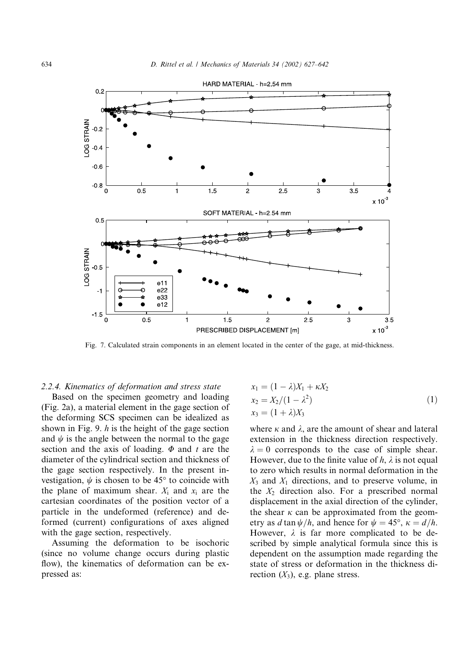

Fig. 7. Calculated strain components in an element located in the center of the gage, at mid-thickness.

#### 2.2.4. Kinematics of deformation and stress state

Based on the specimen geometry and loading (Fig. 2a), a material element in the gage section of the deforming SCS specimen can be idealized as shown in Fig. 9.  $h$  is the height of the gage section and  $\psi$  is the angle between the normal to the gage section and the axis of loading.  $\Phi$  and t are the diameter of the cylindrical section and thickness of the gage section respectively. In the present investigation,  $\psi$  is chosen to be 45<sup>o</sup> to coincide with the plane of maximum shear.  $X_i$  and  $x_i$  are the cartesian coordinates of the position vector of a particle in the undeformed (reference) and deformed (current) configurations of axes aligned with the gage section, respectively.

Assuming the deformation to be isochoric (since no volume change occurs during plastic flow), the kinematics of deformation can be expressed as:

$$
x_1 = (1 - \lambda)X_1 + \kappa X_2 \n x_2 = X_2/(1 - \lambda^2) \n x_3 = (1 + \lambda)X_3
$$
\n(1)

where  $\kappa$  and  $\lambda$ , are the amount of shear and lateral extension in the thickness direction respectively.  $\lambda = 0$  corresponds to the case of simple shear. However, due to the finite value of h,  $\lambda$  is not equal to zero which results in normal deformation in the  $X_3$  and  $X_1$  directions, and to preserve volume, in the  $X_2$  direction also. For a prescribed normal displacement in the axial direction of the cylinder, the shear  $\kappa$  can be approximated from the geometry as d tan  $\psi/h$ , and hence for  $\psi = 45^{\circ}$ ,  $\kappa = d/h$ . However,  $\lambda$  is far more complicated to be described by simple analytical formula since this is dependent on the assumption made regarding the state of stress or deformation in the thickness direction  $(X_3)$ , e.g. plane stress.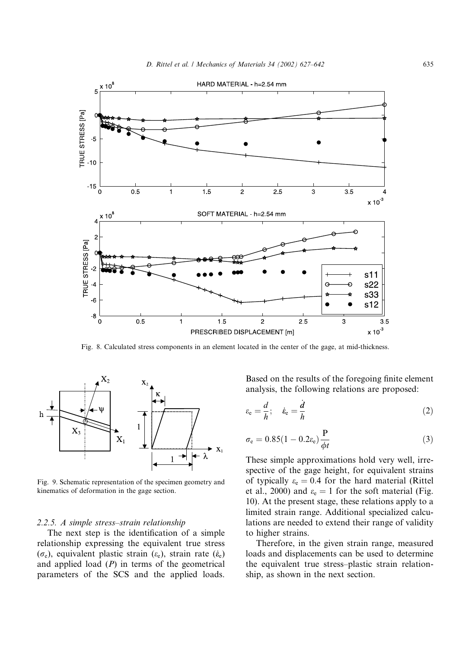

Fig. 8. Calculated stress components in an element located in the center of the gage, at mid-thickness.



Fig. 9. Schematic representation of the specimen geometry and kinematics of deformation in the gage section.

### 2.2.5. A simple stress–strain relationship

The next step is the identification of a simple relationship expressing the equivalent true stress  $(\sigma_e)$ , equivalent plastic strain  $(\varepsilon_e)$ , strain rate  $(\varepsilon_e)$ and applied load  $(P)$  in terms of the geometrical parameters of the SCS and the applied loads.

Based on the results of the foregoing finite element analysis, the following relations are proposed:

$$
\varepsilon_{\rm e} = \frac{d}{h}; \quad \dot{\varepsilon}_{\rm e} = \frac{\dot{d}}{h} \tag{2}
$$

$$
\sigma_{\rm e} = 0.85(1 - 0.2\epsilon_{\rm e})\frac{\rm P}{\phi t} \tag{3}
$$

These simple approximations hold very well, irrespective of the gage height, for equivalent strains of typically  $\varepsilon_e = 0.4$  for the hard material (Rittel et al., 2000) and  $\varepsilon_e = 1$  for the soft material (Fig. 10). At the present stage, these relations apply to a limited strain range. Additional specialized calculations are needed to extend their range of validity to higher strains.

Therefore, in the given strain range, measured loads and displacements can be used to determine the equivalent true stress–plastic strain relationship, as shown in the next section.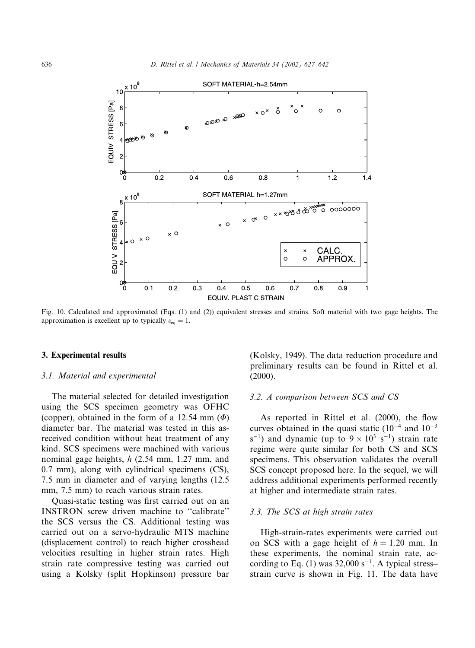

Fig. 10. Calculated and approximated (Eqs. (1) and (2)) equivalent stresses and strains. Soft material with two gage heights. The approximation is excellent up to typically  $\varepsilon_{eq} = 1$ .

## 3. Experimental results

## 3.1. Material and experimental

The material selected for detailed investigation using the SCS specimen geometry was OFHC (copper), obtained in the form of a 12.54 mm  $(\Phi)$ diameter bar. The material was tested in this asreceived condition without heat treatment of any kind. SCS specimens were machined with various nominal gage heights, h (2.54 mm, 1.27 mm, and 0.7 mm), along with cylindrical specimens (CS), 7.5 mm in diameter and of varying lengths (12.5 mm, 7.5 mm) to reach various strain rates.

Quasi-static testing was first carried out on an INSTRON screw driven machine to ''calibrate'' the SCS versus the CS. Additional testing was carried out on a servo-hydraulic MTS machine (displacement control) to reach higher crosshead velocities resulting in higher strain rates. High strain rate compressive testing was carried out using a Kolsky (split Hopkinson) pressure bar (Kolsky, 1949). The data reduction procedure and preliminary results can be found in Rittel et al. (2000).

#### 3.2. A comparison between SCS and CS

As reported in Rittel et al. (2000), the flow curves obtained in the quasi static  $(10^{-4}$  and  $10^{-3}$  $(s^{-1})$  and dynamic (up to  $9 \times 10^3$  s<sup>-1</sup>) strain rate regime were quite similar for both CS and SCS specimens. This observation validates the overall SCS concept proposed here. In the sequel, we will address additional experiments performed recently at higher and intermediate strain rates.

### 3.3. The SCS at high strain rates

High-strain-rates experiments were carried out on SCS with a gage height of  $h = 1.20$  mm. In these experiments, the nominal strain rate, according to Eq.  $(1)$  was 32,000 s<sup>-1</sup>. A typical stressstrain curve is shown in Fig. 11. The data have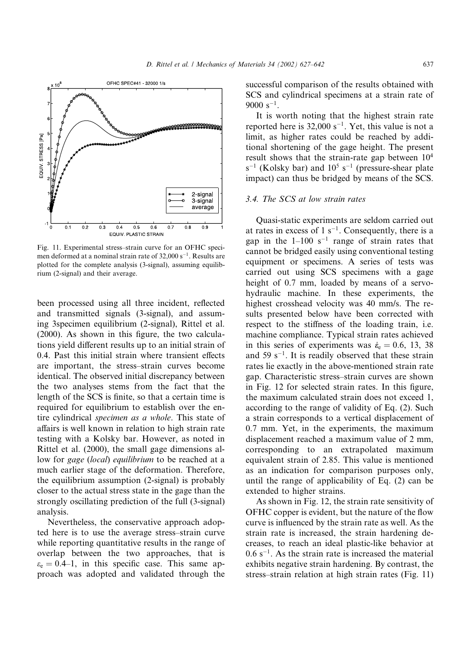

Fig. 11. Experimental stress–strain curve for an OFHC specimen deformed at a nominal strain rate of  $32,000 s^{-1}$ . Results are plotted for the complete analysis (3-signal), assuming equilibrium (2-signal) and their average.

been processed using all three incident, reflected and transmitted signals (3-signal), and assuming 3specimen equilibrium (2-signal), Rittel et al. (2000). As shown in this figure, the two calculations yield different results up to an initial strain of 0.4. Past this initial strain where transient effects are important, the stress–strain curves become identical. The observed initial discrepancy between the two analyses stems from the fact that the length of the SCS is finite, so that a certain time is required for equilibrium to establish over the entire cylindrical specimen as a whole. This state of affairs is well known in relation to high strain rate testing with a Kolsky bar. However, as noted in Rittel et al. (2000), the small gage dimensions allow for *gage* (*local*) *equilibrium* to be reached at a much earlier stage of the deformation. Therefore, the equilibrium assumption (2-signal) is probably closer to the actual stress state in the gage than the strongly oscillating prediction of the full (3-signal) analysis.

Nevertheless, the conservative approach adopted here is to use the average stress–strain curve while reporting quantitative results in the range of overlap between the two approaches, that is  $\varepsilon_e = 0.4$ –1, in this specific case. This same approach was adopted and validated through the successful comparison of the results obtained with SCS and cylindrical specimens at a strain rate of  $9000 \text{ s}^{-1}.$ 

It is worth noting that the highest strain rate reported here is  $32,000$  s<sup>-1</sup>. Yet, this value is not a limit, as higher rates could be reached by additional shortening of the gage height. The present result shows that the strain-rate gap between 104  $s^{-1}$  (Kolsky bar) and  $10^5$   $s^{-1}$  (pressure-shear plate impact) can thus be bridged by means of the SCS.

## 3.4. The SCS at low strain rates

Quasi-static experiments are seldom carried out at rates in excess of  $1 \text{ s}^{-1}$ . Consequently, there is a gap in the  $1-100$  s<sup>-1</sup> range of strain rates that cannot be bridged easily using conventional testing equipment or specimens. A series of tests was carried out using SCS specimens with a gage height of 0.7 mm, loaded by means of a servohydraulic machine. In these experiments, the highest crosshead velocity was 40 mm/s. The results presented below have been corrected with respect to the stiffness of the loading train, i.e. machine compliance. Typical strain rates achieved in this series of experiments was  $\dot{\epsilon}_e = 0.6, 13, 38$ and 59  $s^{-1}$ . It is readily observed that these strain rates lie exactly in the above-mentioned strain rate gap. Characteristic stress–strain curves are shown in Fig. 12 for selected strain rates. In this figure, the maximum calculated strain does not exceed 1, according to the range of validity of Eq. (2). Such a strain corresponds to a vertical displacement of 0.7 mm. Yet, in the experiments, the maximum displacement reached a maximum value of 2 mm, corresponding to an extrapolated maximum equivalent strain of 2.85. This value is mentioned as an indication for comparison purposes only, until the range of applicability of Eq. (2) can be extended to higher strains.

As shown in Fig. 12, the strain rate sensitivity of OFHC copper is evident, but the nature of the flow curve is influenced by the strain rate as well. As the strain rate is increased, the strain hardening decreases, to reach an ideal plastic-like behavior at  $0.6$  s<sup>-1</sup>. As the strain rate is increased the material exhibits negative strain hardening. By contrast, the stress–strain relation at high strain rates (Fig. 11)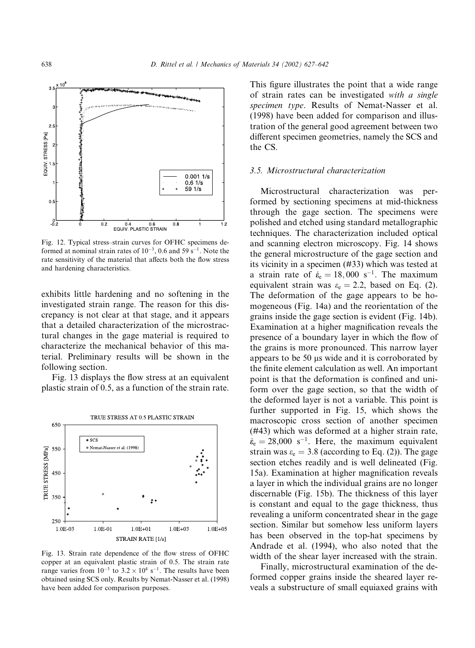

Fig. 12. Typical stress–strain curves for OFHC specimens deformed at nominal strain rates of  $10^{-3}$ , 0.6 and 59 s<sup>-1</sup>. Note the rate sensitivity of the material that affects both the flow stress and hardening characteristics.

exhibits little hardening and no softening in the investigated strain range. The reason for this discrepancy is not clear at that stage, and it appears that a detailed characterization of the microstractural changes in the gage material is required to characterize the mechanical behavior of this material. Preliminary results will be shown in the following section.

Fig. 13 displays the flow stress at an equivalent plastic strain of 0.5, as a function of the strain rate.



Fig. 13. Strain rate dependence of the flow stress of OFHC copper at an equivalent plastic strain of 0.5. The strain rate range varies from  $10^{-3}$  to  $3.2 \times 10^{4}$  s<sup>-1</sup>. The results have been obtained using SCS only. Results by Nemat-Nasser et al. (1998) have been added for comparison purposes.

This figure illustrates the point that a wide range of strain rates can be investigated with a single specimen type. Results of Nemat-Nasser et al. (1998) have been added for comparison and illustration of the general good agreement between two different specimen geometries, namely the SCS and the CS.

#### 3.5. Microstructural characterization

Microstructural characterization was performed by sectioning specimens at mid-thickness through the gage section. The specimens were polished and etched using standard metallographic techniques. The characterization included optical and scanning electron microscopy. Fig. 14 shows the general microstructure of the gage section and its vicinity in a specimen (#33) which was tested at a strain rate of  $\dot{\epsilon}_e = 18,000 \text{ s}^{-1}$ . The maximum equivalent strain was  $\varepsilon_e = 2.2$ , based on Eq. (2). The deformation of the gage appears to be homogeneous (Fig. 14a) and the reorientation of the grains inside the gage section is evident (Fig. 14b). Examination at a higher magnification reveals the presence of a boundary layer in which the flow of the grains is more pronounced. This narrow layer appears to be 50 µs wide and it is corroborated by the finite element calculation as well. An important point is that the deformation is confined and uniform over the gage section, so that the width of the deformed layer is not a variable. This point is further supported in Fig. 15, which shows the macroscopic cross section of another specimen (#43) which was deformed at a higher strain rate,  $\dot{\epsilon}_e = 28,000 \text{ s}^{-1}$ . Here, the maximum equivalent strain was  $\varepsilon_e = 3.8$  (according to Eq. (2)). The gage section etches readily and is well delineated (Fig. 15a). Examination at higher magnification reveals a layer in which the individual grains are no longer discernable (Fig. 15b). The thickness of this layer is constant and equal to the gage thickness, thus revealing a uniform concentrated shear in the gage section. Similar but somehow less uniform layers has been observed in the top-hat specimens by Andrade et al. (1994), who also noted that the width of the shear layer increased with the strain.

Finally, microstructural examination of the deformed copper grains inside the sheared layer reveals a substructure of small equiaxed grains with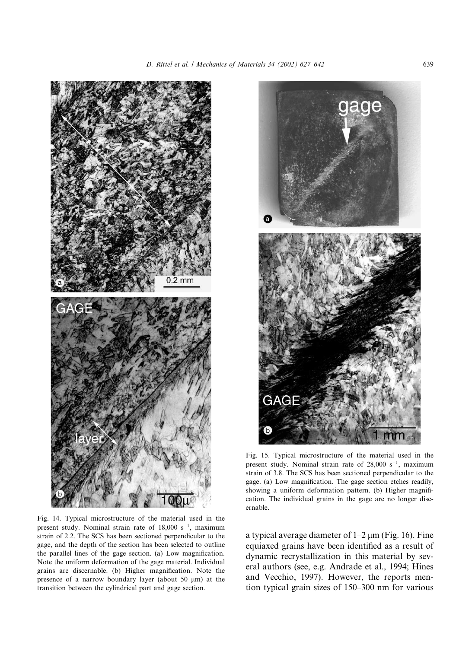

Fig. 14. Typical microstructure of the material used in the present study. Nominal strain rate of  $18,000 s^{-1}$ , maximum strain of 2.2. The SCS has been sectioned perpendicular to the gage, and the depth of the section has been selected to outline the parallel lines of the gage section. (a) Low magnification. Note the uniform deformation of the gage material. Individual grains are discernable. (b) Higher magnification. Note the presence of a narrow boundary layer (about 50  $\mu$ m) at the transition between the cylindrical part and gage section.



Fig. 15. Typical microstructure of the material used in the present study. Nominal strain rate of  $28,000 s^{-1}$ , maximum strain of 3.8. The SCS has been sectioned perpendicular to the gage. (a) Low magnification. The gage section etches readily, showing a uniform deformation pattern. (b) Higher magnification. The individual grains in the gage are no longer discernable.

a typical average diameter of  $1-2 \mu m$  (Fig. 16). Fine equiaxed grains have been identified as a result of dynamic recrystallization in this material by several authors (see, e.g. Andrade et al., 1994; Hines and Vecchio, 1997). However, the reports mention typical grain sizes of 150–300 nm for various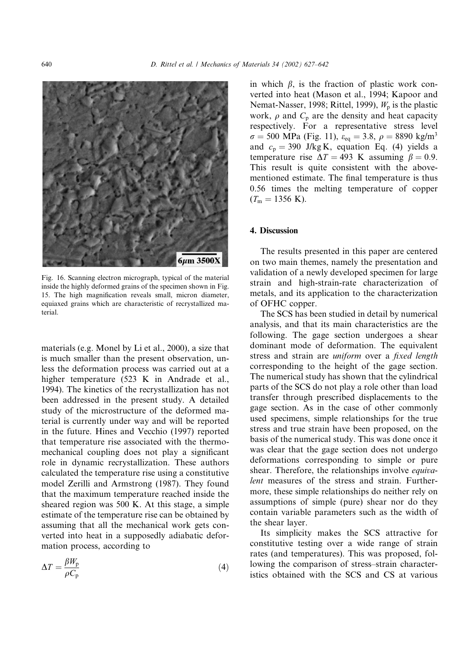

Fig. 16. Scanning electron micrograph, typical of the material inside the highly deformed grains of the specimen shown in Fig. 15. The high magnification reveals small, micron diameter, equiaxed grains which are characteristic of recrystallized material.

materials (e.g. Monel by Li et al., 2000), a size that is much smaller than the present observation, unless the deformation process was carried out at a higher temperature (523 K in Andrade et al., 1994). The kinetics of the recrystallization has not been addressed in the present study. A detailed study of the microstructure of the deformed material is currently under way and will be reported in the future. Hines and Vecchio (1997) reported that temperature rise associated with the thermomechanical coupling does not play a significant role in dynamic recrystallization. These authors calculated the temperature rise using a constitutive model Zerilli and Armstrong (1987). They found that the maximum temperature reached inside the sheared region was 500 K. At this stage, a simple estimate of the temperature rise can be obtained by assuming that all the mechanical work gets converted into heat in a supposedly adiabatic deformation process, according to

$$
\Delta T = \frac{\beta W_{\rm p}}{\rho C_{\rm p}}\tag{4}
$$

in which  $\beta$ , is the fraction of plastic work converted into heat (Mason et al., 1994; Kapoor and Nemat-Nasser, 1998; Rittel, 1999),  $W_p$  is the plastic work,  $\rho$  and  $C_p$  are the density and heat capacity respectively. For a representative stress level  $\sigma = 500$  MPa (Fig. 11),  $\varepsilon_{eq} = 3.8$ ,  $\rho = 8890$  kg/m<sup>3</sup> and  $c_p = 390$  J/kg K, equation Eq. (4) yields a temperature rise  $\Delta T = 493$  K assuming  $\beta = 0.9$ . This result is quite consistent with the abovementioned estimate. The final temperature is thus 0.56 times the melting temperature of copper  $(T_m = 1356 \text{ K}).$ 

## 4. Discussion

The results presented in this paper are centered on two main themes, namely the presentation and validation of a newly developed specimen for large strain and high-strain-rate characterization of metals, and its application to the characterization of OFHC copper.

The SCS has been studied in detail by numerical analysis, and that its main characteristics are the following. The gage section undergoes a shear dominant mode of deformation. The equivalent stress and strain are *uniform* over a *fixed length* corresponding to the height of the gage section. The numerical study has shown that the cylindrical parts of the SCS do not play a role other than load transfer through prescribed displacements to the gage section. As in the case of other commonly used specimens, simple relationships for the true stress and true strain have been proposed, on the basis of the numerical study. This was done once it was clear that the gage section does not undergo deformations corresponding to simple or pure shear. Therefore, the relationships involve *equiva*lent measures of the stress and strain. Furthermore, these simple relationships do neither rely on assumptions of simple (pure) shear nor do they contain variable parameters such as the width of the shear layer.

Its simplicity makes the SCS attractive for constitutive testing over a wide range of strain rates (and temperatures). This was proposed, following the comparison of stress–strain characteristics obtained with the SCS and CS at various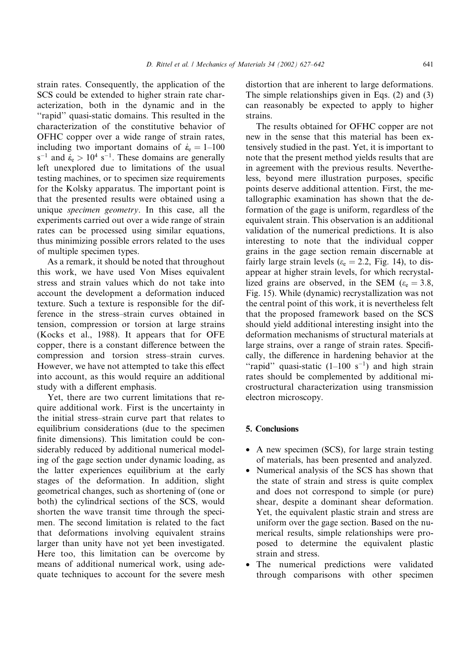strain rates. Consequently, the application of the SCS could be extended to higher strain rate characterization, both in the dynamic and in the "rapid" quasi-static domains. This resulted in the characterization of the constitutive behavior of OFHC copper over a wide range of strain rates, including two important domains of  $\dot{\epsilon}_e = 1-100$  $s^{-1}$  and  $\dot{\epsilon}_e > 10^4$  s<sup>-1</sup>. These domains are generally left unexplored due to limitations of the usual testing machines, or to specimen size requirements for the Kolsky apparatus. The important point is that the presented results were obtained using a unique specimen geometry. In this case, all the experiments carried out over a wide range of strain rates can be processed using similar equations, thus minimizing possible errors related to the uses of multiple specimen types.

As a remark, it should be noted that throughout this work, we have used Von Mises equivalent stress and strain values which do not take into account the development a deformation induced texture. Such a texture is responsible for the difference in the stress–strain curves obtained in tension, compression or torsion at large strains (Kocks et al., 1988). It appears that for OFE copper, there is a constant difference between the compression and torsion stress–strain curves. However, we have not attempted to take this effect into account, as this would require an additional study with a different emphasis.

Yet, there are two current limitations that require additional work. First is the uncertainty in the initial stress–strain curve part that relates to equilibrium considerations (due to the specimen finite dimensions). This limitation could be considerably reduced by additional numerical modeling of the gage section under dynamic loading, as the latter experiences equilibrium at the early stages of the deformation. In addition, slight geometrical changes, such as shortening of (one or both) the cylindrical sections of the SCS, would shorten the wave transit time through the specimen. The second limitation is related to the fact that deformations involving equivalent strains larger than unity have not yet been investigated. Here too, this limitation can be overcome by means of additional numerical work, using adequate techniques to account for the severe mesh

distortion that are inherent to large deformations. The simple relationships given in Eqs. (2) and (3) can reasonably be expected to apply to higher strains.

The results obtained for OFHC copper are not new in the sense that this material has been extensively studied in the past. Yet, it is important to note that the present method yields results that are in agreement with the previous results. Nevertheless, beyond mere illustration purposes, specific points deserve additional attention. First, the metallographic examination has shown that the deformation of the gage is uniform, regardless of the equivalent strain. This observation is an additional validation of the numerical predictions. It is also interesting to note that the individual copper grains in the gage section remain discernable at fairly large strain levels ( $\varepsilon_e = 2.2$ , Fig. 14), to disappear at higher strain levels, for which recrystallized grains are observed, in the SEM ( $\varepsilon_e = 3.8$ , Fig. 15). While (dynamic) recrystallization was not the central point of this work, it is nevertheless felt that the proposed framework based on the SCS should yield additional interesting insight into the deformation mechanisms of structural materials at large strains, over a range of strain rates. Specifically, the difference in hardening behavior at the "rapid" quasi-static  $(1-100 s<sup>-1</sup>)$  and high strain rates should be complemented by additional microstructural characterization using transmission electron microscopy.

# 5. Conclusions

- A new specimen (SCS), for large strain testing of materials, has been presented and analyzed.
- Numerical analysis of the SCS has shown that the state of strain and stress is quite complex and does not correspond to simple (or pure) shear, despite a dominant shear deformation. Yet, the equivalent plastic strain and stress are uniform over the gage section. Based on the numerical results, simple relationships were proposed to determine the equivalent plastic strain and stress.
- The numerical predictions were validated through comparisons with other specimen